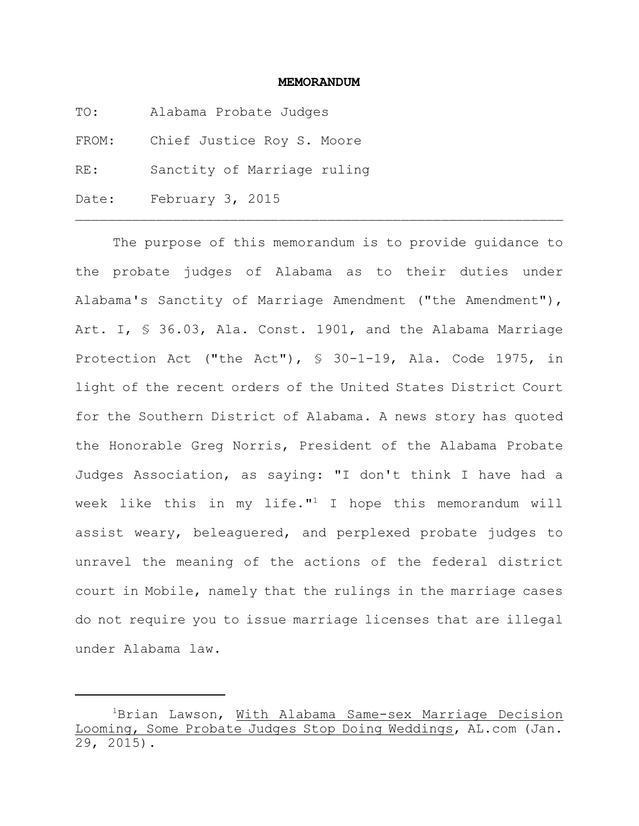#### **MEMORANDUM**

- TO: Alabama Probate Judges
- FROM: Chief Justice Roy S. Moore
- RE: Sanctity of Marriage ruling
- Date: February 3, 2015

The purpose of this memorandum is to provide guidance to the probate judges of Alabama as to their duties under Alabama's Sanctity of Marriage Amendment ("the Amendment"), Art. I, § 36.03, Ala. Const. 1901, and the Alabama Marriage Protection Act ("the Act"), § 30-1-19, Ala. Code 1975, in light of the recent orders of the United States District Court for the Southern District of Alabama. A news story has quoted the Honorable Greg Norris, President of the Alabama Probate Judges Association, as saying: "I don't think I have had a week like this in my life."<sup>1</sup> I hope this memorandum will assist weary, beleaguered, and perplexed probate judges to unravel the meaning of the actions of the federal district court in Mobile, namely that the rulings in the marriage cases do not require you to issue marriage licenses that are illegal under Alabama law.

 ${}^{1}$ Brian Lawson, With Alabama Same-sex Marriage Decision Looming, Some Probate Judges Stop Doing Weddings, AL.com (Jan.  $\overline{29}$ , 2015).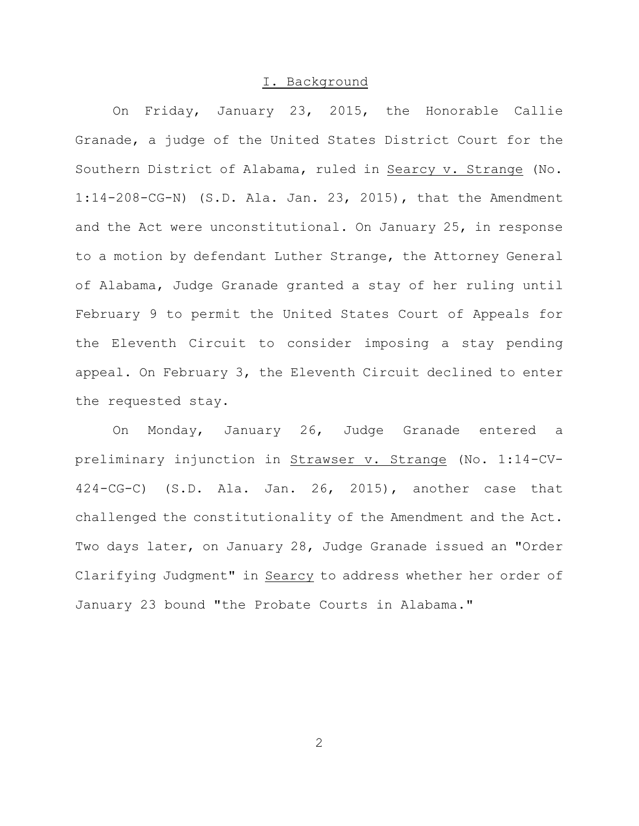#### I. Background

On Friday, January 23, 2015, the Honorable Callie Granade, a judge of the United States District Court for the Southern District of Alabama, ruled in Searcy v. Strange (No. 1:14-208-CG-N) (S.D. Ala. Jan. 23, 2015), that the Amendment and the Act were unconstitutional. On January 25, in response to a motion by defendant Luther Strange, the Attorney General of Alabama, Judge Granade granted a stay of her ruling until February 9 to permit the United States Court of Appeals for the Eleventh Circuit to consider imposing a stay pending appeal. On February 3, the Eleventh Circuit declined to enter the requested stay.

On Monday, January 26, Judge Granade entered a preliminary injunction in Strawser v. Strange (No. 1:14-CV-424-CG-C) (S.D. Ala. Jan. 26, 2015), another case that challenged the constitutionality of the Amendment and the Act. Two days later, on January 28, Judge Granade issued an "Order Clarifying Judgment" in Searcy to address whether her order of January 23 bound "the Probate Courts in Alabama."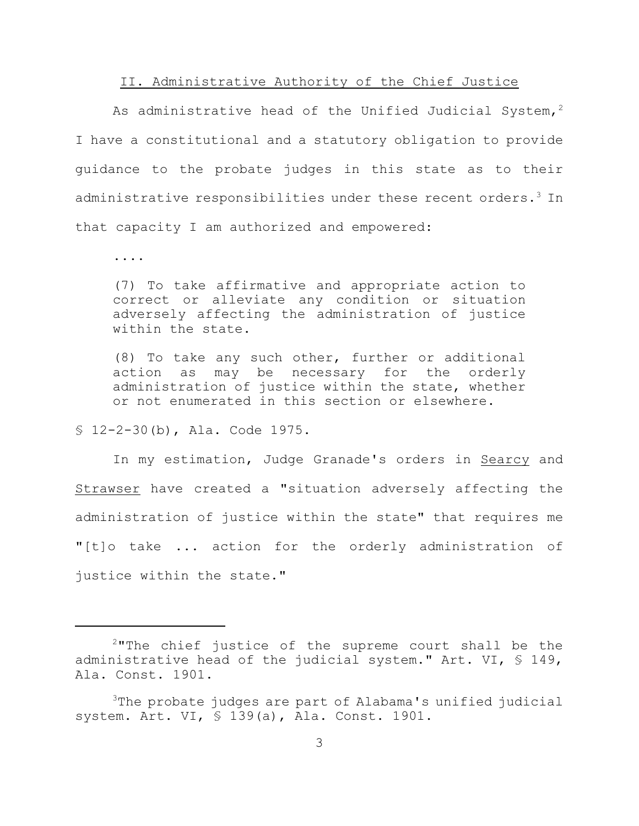#### II. Administrative Authority of the Chief Justice

As administrative head of the Unified Judicial System,<sup>2</sup> I have a constitutional and a statutory obligation to provide guidance to the probate judges in this state as to their administrative responsibilities under these recent orders.<sup>3</sup> In that capacity I am authorized and empowered:

....

(7) To take affirmative and appropriate action to correct or alleviate any condition or situation adversely affecting the administration of justice within the state.

(8) To take any such other, further or additional action as may be necessary for the orderly administration of justice within the state, whether or not enumerated in this section or elsewhere.

§ 12-2-30(b), Ala. Code 1975.

In my estimation, Judge Granade's orders in Searcy and Strawser have created a "situation adversely affecting the administration of justice within the state" that requires me "[t]o take ... action for the orderly administration of justice within the state."

 $2$ "The chief justice of the supreme court shall be the administrative head of the judicial system." Art. VI, § 149, Ala. Const. 1901.

 $3$ The probate judges are part of Alabama's unified judicial system. Art. VI, § 139(a), Ala. Const. 1901.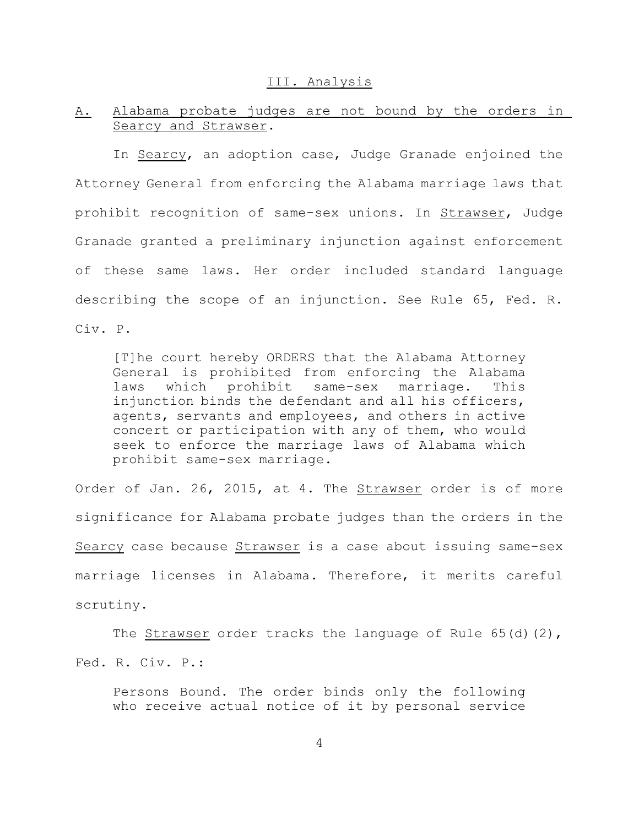#### III. Analysis

# A. Alabama probate judges are not bound by the orders in Searcy and Strawser.

In Searcy, an adoption case, Judge Granade enjoined the Attorney General from enforcing the Alabama marriage laws that prohibit recognition of same-sex unions. In Strawser, Judge Granade granted a preliminary injunction against enforcement of these same laws. Her order included standard language describing the scope of an injunction. See Rule 65, Fed. R. Civ. P.

[T]he court hereby ORDERS that the Alabama Attorney General is prohibited from enforcing the Alabama laws which prohibit same-sex marriage. This injunction binds the defendant and all his officers, agents, servants and employees, and others in active concert or participation with any of them, who would seek to enforce the marriage laws of Alabama which prohibit same-sex marriage.

Order of Jan. 26, 2015, at 4. The Strawser order is of more significance for Alabama probate judges than the orders in the Searcy case because Strawser is a case about issuing same-sex marriage licenses in Alabama. Therefore, it merits careful scrutiny.

The Strawser order tracks the language of Rule  $65(d)(2)$ , Fed. R. Civ. P.:

Persons Bound. The order binds only the following who receive actual notice of it by personal service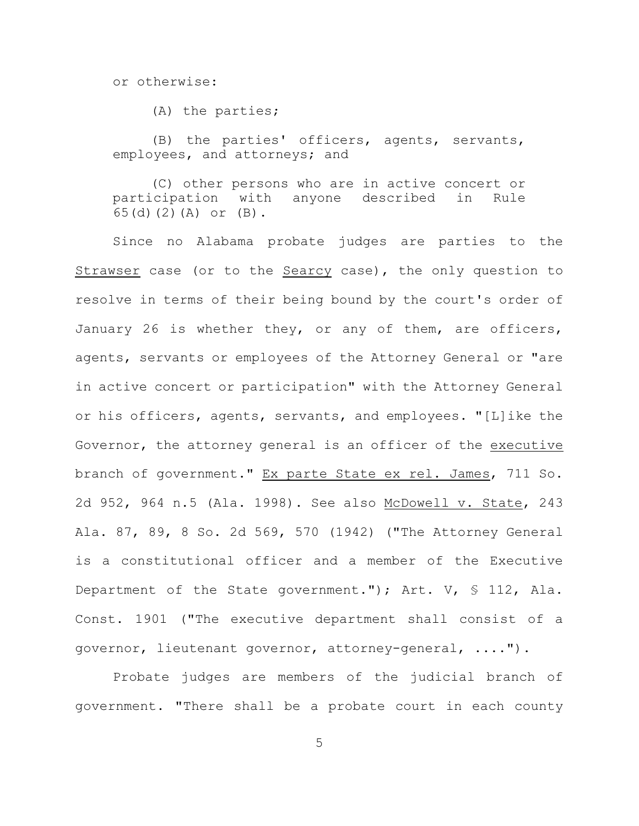or otherwise:

(A) the parties;

(B) the parties' officers, agents, servants, employees, and attorneys; and

(C) other persons who are in active concert or participation with anyone described in Rule 65(d)(2)(A) or (B).

Since no Alabama probate judges are parties to the Strawser case (or to the Searcy case), the only question to resolve in terms of their being bound by the court's order of January 26 is whether they, or any of them, are officers, agents, servants or employees of the Attorney General or "are in active concert or participation" with the Attorney General or his officers, agents, servants, and employees. "[L]ike the Governor, the attorney general is an officer of the executive branch of government." Ex parte State ex rel. James, 711 So. 2d 952, 964 n.5 (Ala. 1998). See also McDowell v. State, 243 Ala. 87, 89, 8 So. 2d 569, 570 (1942) ("The Attorney General is a constitutional officer and a member of the Executive Department of the State government."); Art. V, § 112, Ala. Const. 1901 ("The executive department shall consist of a governor, lieutenant governor, attorney-general, ....").

Probate judges are members of the judicial branch of government. "There shall be a probate court in each county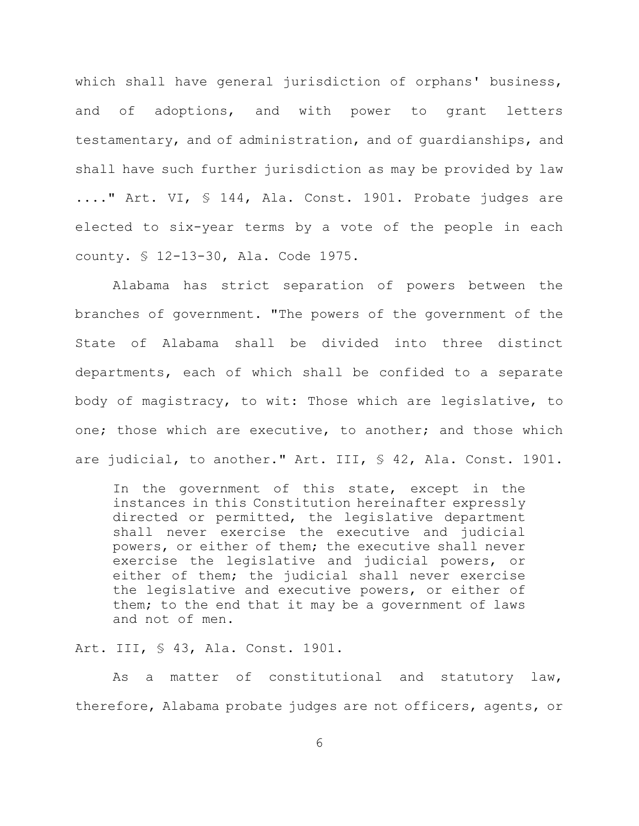which shall have general jurisdiction of orphans' business, and of adoptions, and with power to grant letters testamentary, and of administration, and of guardianships, and shall have such further jurisdiction as may be provided by law ...." Art. VI, § 144, Ala. Const. 1901. Probate judges are elected to six-year terms by a vote of the people in each county. § 12-13-30, Ala. Code 1975.

Alabama has strict separation of powers between the branches of government. "The powers of the government of the State of Alabama shall be divided into three distinct departments, each of which shall be confided to a separate body of magistracy, to wit: Those which are legislative, to one; those which are executive, to another; and those which are judicial, to another." Art. III, § 42, Ala. Const. 1901.

In the government of this state, except in the instances in this Constitution hereinafter expressly directed or permitted, the legislative department shall never exercise the executive and judicial powers, or either of them; the executive shall never exercise the legislative and judicial powers, or either of them; the judicial shall never exercise the legislative and executive powers, or either of them; to the end that it may be a government of laws and not of men.

Art. III, § 43, Ala. Const. 1901.

As a matter of constitutional and statutory law, therefore, Alabama probate judges are not officers, agents, or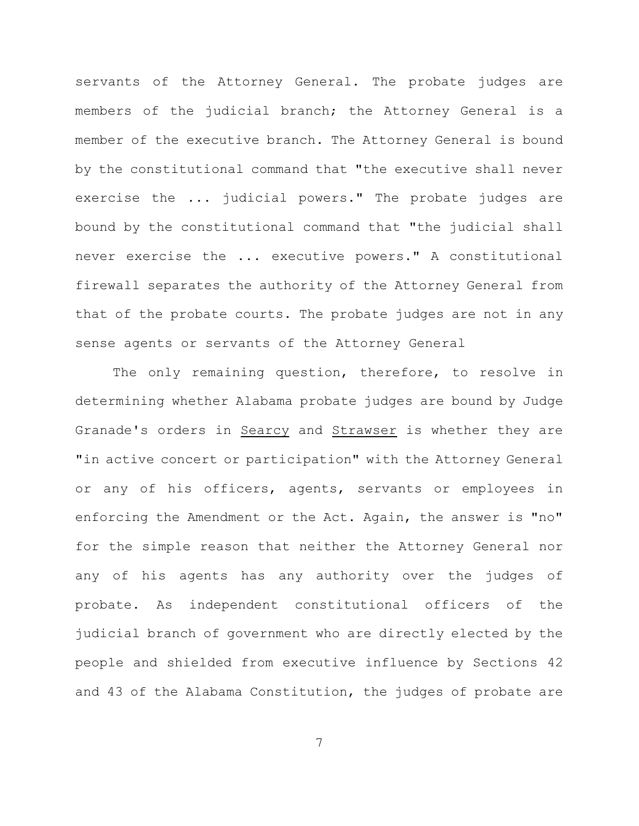servants of the Attorney General. The probate judges are members of the judicial branch; the Attorney General is a member of the executive branch. The Attorney General is bound by the constitutional command that "the executive shall never exercise the ... judicial powers." The probate judges are bound by the constitutional command that "the judicial shall never exercise the ... executive powers." A constitutional firewall separates the authority of the Attorney General from that of the probate courts. The probate judges are not in any sense agents or servants of the Attorney General

The only remaining question, therefore, to resolve in determining whether Alabama probate judges are bound by Judge Granade's orders in Searcy and Strawser is whether they are "in active concert or participation" with the Attorney General or any of his officers, agents, servants or employees in enforcing the Amendment or the Act. Again, the answer is "no" for the simple reason that neither the Attorney General nor any of his agents has any authority over the judges of probate. As independent constitutional officers of the judicial branch of government who are directly elected by the people and shielded from executive influence by Sections 42 and 43 of the Alabama Constitution, the judges of probate are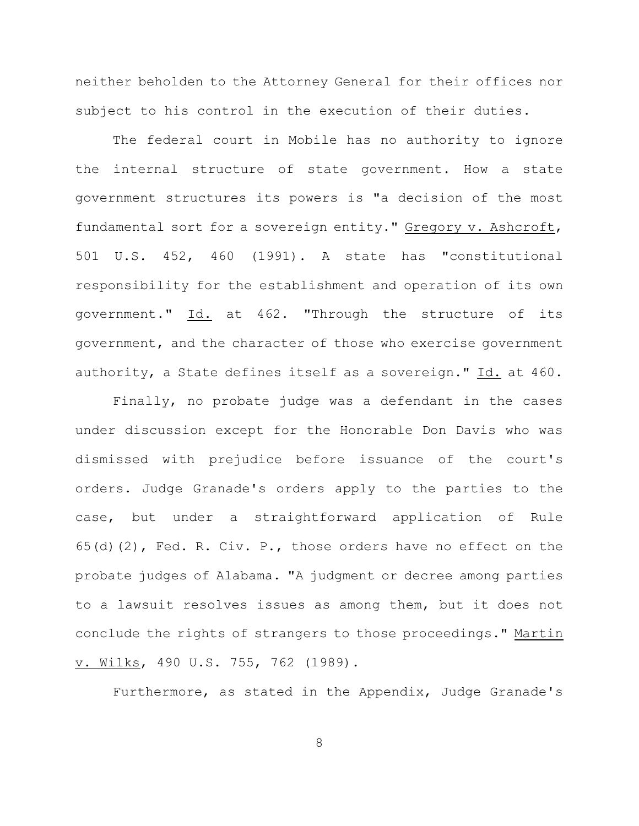neither beholden to the Attorney General for their offices nor subject to his control in the execution of their duties.

The federal court in Mobile has no authority to ignore the internal structure of state government. How a state government structures its powers is "a decision of the most fundamental sort for a sovereign entity." Gregory v. Ashcroft, 501 U.S. 452, 460 (1991). A state has "constitutional responsibility for the establishment and operation of its own government." Id. at 462. "Through the structure of its government, and the character of those who exercise government authority, a State defines itself as a sovereign." Id. at 460.

Finally, no probate judge was a defendant in the cases under discussion except for the Honorable Don Davis who was dismissed with prejudice before issuance of the court's orders. Judge Granade's orders apply to the parties to the case, but under a straightforward application of Rule 65(d)(2), Fed. R. Civ. P., those orders have no effect on the probate judges of Alabama. "A judgment or decree among parties to a lawsuit resolves issues as among them, but it does not conclude the rights of strangers to those proceedings." Martin v. Wilks, 490 U.S. 755, 762 (1989).

Furthermore, as stated in the Appendix, Judge Granade's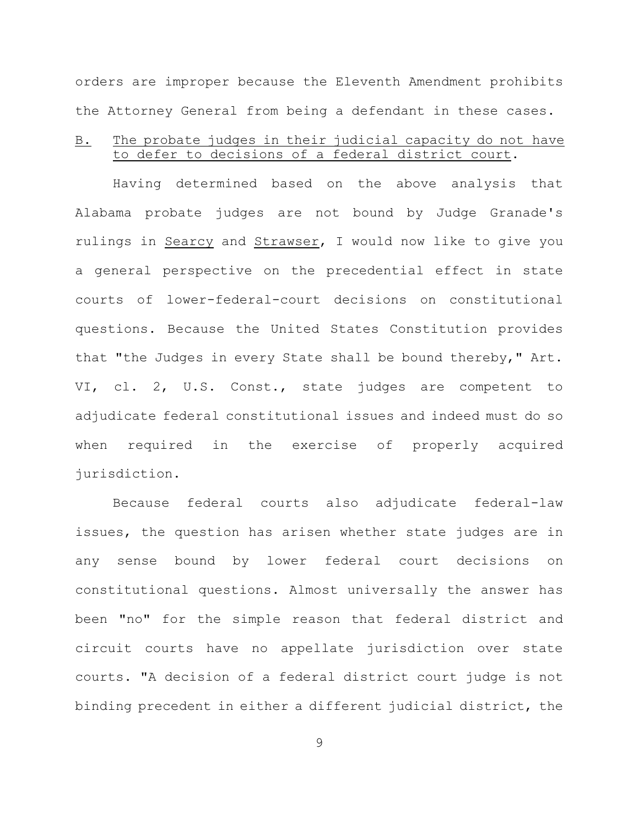orders are improper because the Eleventh Amendment prohibits the Attorney General from being a defendant in these cases.

# B. The probate judges in their judicial capacity do not have to defer to decisions of a federal district court.

Having determined based on the above analysis that Alabama probate judges are not bound by Judge Granade's rulings in Searcy and Strawser, I would now like to give you a general perspective on the precedential effect in state courts of lower-federal-court decisions on constitutional questions. Because the United States Constitution provides that "the Judges in every State shall be bound thereby," Art. VI, cl. 2, U.S. Const., state judges are competent to adjudicate federal constitutional issues and indeed must do so when required in the exercise of properly acquired jurisdiction.

Because federal courts also adjudicate federal-law issues, the question has arisen whether state judges are in any sense bound by lower federal court decisions on constitutional questions. Almost universally the answer has been "no" for the simple reason that federal district and circuit courts have no appellate jurisdiction over state courts. "A decision of a federal district court judge is not binding precedent in either a different judicial district, the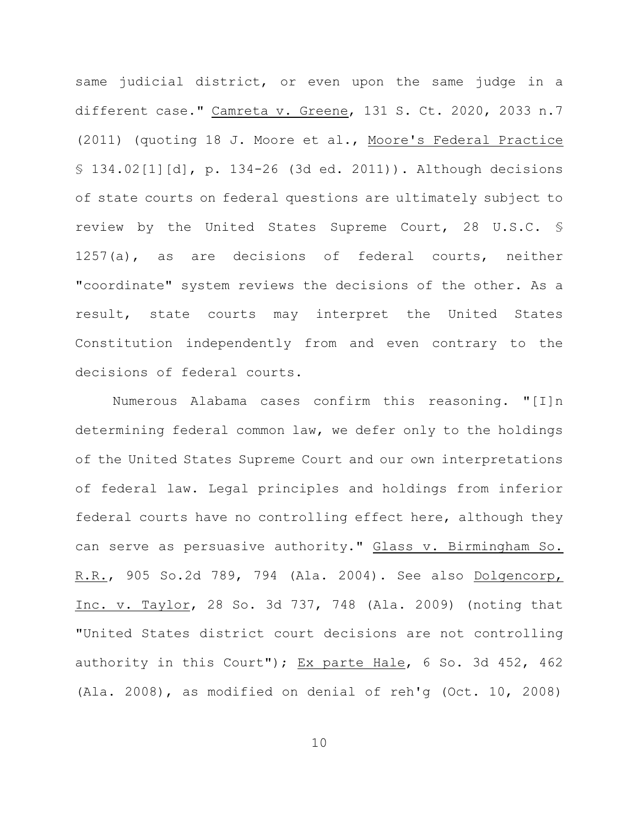same judicial district, or even upon the same judge in a different case." Camreta v. Greene, 131 S. Ct. 2020, 2033 n.7 (2011) (quoting 18 J. Moore et al., Moore's Federal Practice § 134.02[1][d], p. 134-26 (3d ed. 2011)). Although decisions of state courts on federal questions are ultimately subject to review by the United States Supreme Court, 28 U.S.C. § 1257(a), as are decisions of federal courts, neither "coordinate" system reviews the decisions of the other. As a result, state courts may interpret the United States Constitution independently from and even contrary to the decisions of federal courts.

Numerous Alabama cases confirm this reasoning. "[I]n determining federal common law, we defer only to the holdings of the United States Supreme Court and our own interpretations of federal law. Legal principles and holdings from inferior federal courts have no controlling effect here, although they can serve as persuasive authority." Glass v. Birmingham So. R.R., 905 So.2d 789, 794 (Ala. 2004). See also Dolgencorp, Inc. v. Taylor, 28 So. 3d 737, 748 (Ala. 2009) (noting that "United States district court decisions are not controlling authority in this Court"); Ex parte Hale, 6 So. 3d 452, 462 (Ala. 2008), as modified on denial of reh'g (Oct. 10, 2008)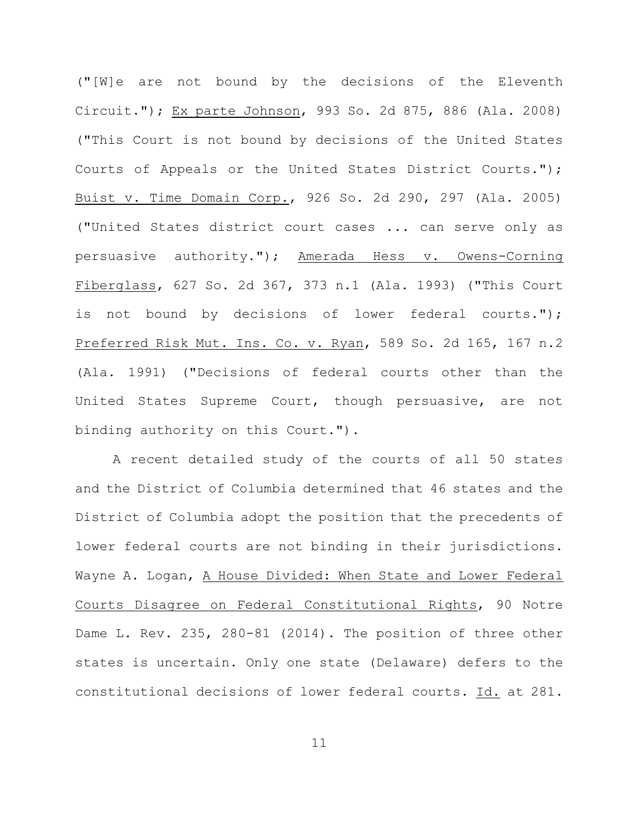("[W]e are not bound by the decisions of the Eleventh Circuit."); Ex parte Johnson, 993 So. 2d 875, 886 (Ala. 2008) ("This Court is not bound by decisions of the United States Courts of Appeals or the United States District Courts."); Buist v. Time Domain Corp., 926 So. 2d 290, 297 (Ala. 2005) ("United States district court cases ... can serve only as persuasive authority."); Amerada Hess v. Owens-Corning Fiberglass, 627 So. 2d 367, 373 n.1 (Ala. 1993) ("This Court is not bound by decisions of lower federal courts."); Preferred Risk Mut. Ins. Co. v. Ryan, 589 So. 2d 165, 167 n.2 (Ala. 1991) ("Decisions of federal courts other than the United States Supreme Court, though persuasive, are not binding authority on this Court.").

A recent detailed study of the courts of all 50 states and the District of Columbia determined that 46 states and the District of Columbia adopt the position that the precedents of lower federal courts are not binding in their jurisdictions. Wayne A. Logan, A House Divided: When State and Lower Federal Courts Disagree on Federal Constitutional Rights, 90 Notre Dame L. Rev. 235, 280-81 (2014). The position of three other states is uncertain. Only one state (Delaware) defers to the constitutional decisions of lower federal courts. Id. at 281.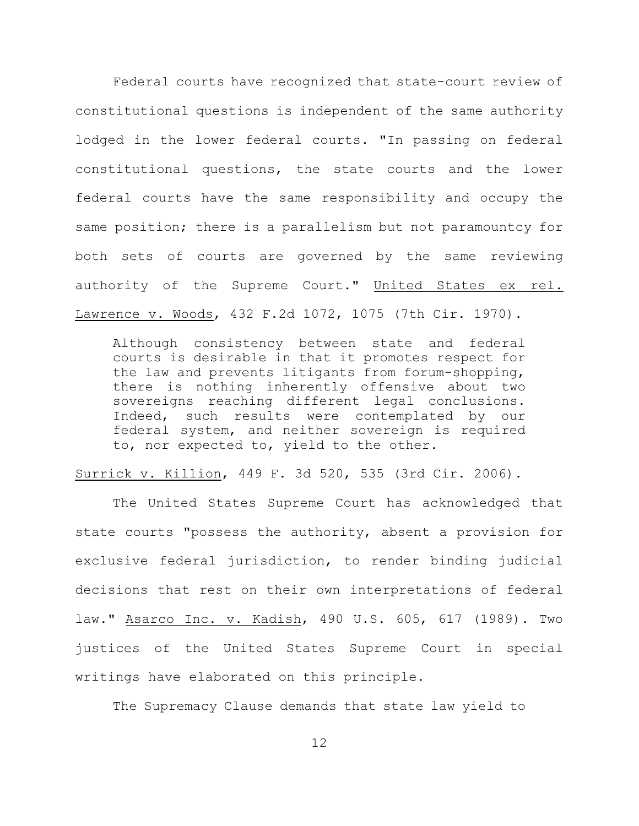Federal courts have recognized that state-court review of constitutional questions is independent of the same authority lodged in the lower federal courts. "In passing on federal constitutional questions, the state courts and the lower federal courts have the same responsibility and occupy the same position; there is a parallelism but not paramountcy for both sets of courts are governed by the same reviewing authority of the Supreme Court." United States ex rel. Lawrence v. Woods, 432 F.2d 1072, 1075 (7th Cir. 1970).

Although consistency between state and federal courts is desirable in that it promotes respect for the law and prevents litigants from forum-shopping, there is nothing inherently offensive about two sovereigns reaching different legal conclusions. Indeed, such results were contemplated by our federal system, and neither sovereign is required to, nor expected to, yield to the other.

Surrick v. Killion, 449 F. 3d 520, 535 (3rd Cir. 2006).

The United States Supreme Court has acknowledged that state courts "possess the authority, absent a provision for exclusive federal jurisdiction, to render binding judicial decisions that rest on their own interpretations of federal law." Asarco Inc. v. Kadish, 490 U.S. 605, 617 (1989). Two justices of the United States Supreme Court in special writings have elaborated on this principle.

The Supremacy Clause demands that state law yield to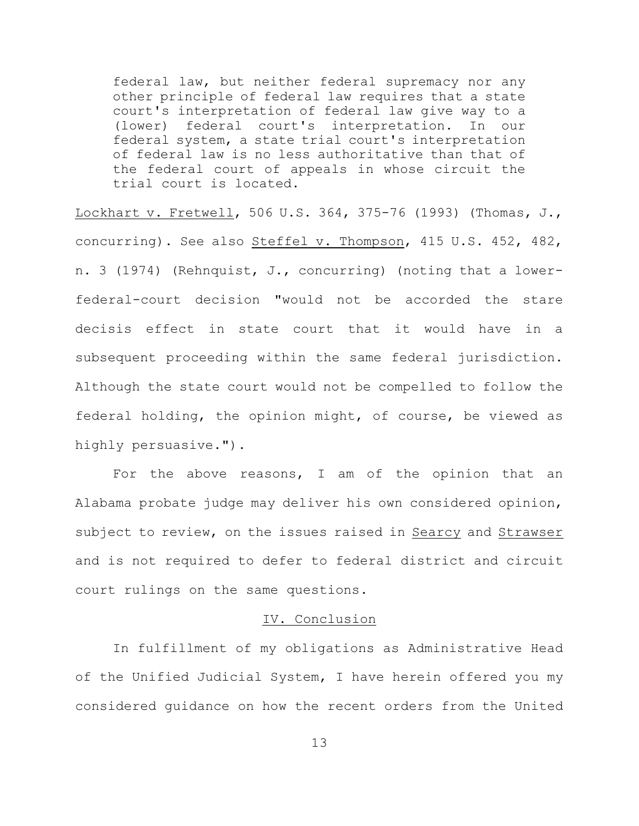federal law, but neither federal supremacy nor any other principle of federal law requires that a state court's interpretation of federal law give way to a (lower) federal court's interpretation. In our federal system, a state trial court's interpretation of federal law is no less authoritative than that of the federal court of appeals in whose circuit the trial court is located.

Lockhart v. Fretwell, 506 U.S. 364, 375-76 (1993) (Thomas, J., concurring). See also Steffel v. Thompson, 415 U.S. 452, 482, n. 3 (1974) (Rehnquist, J., concurring) (noting that a lowerfederal-court decision "would not be accorded the stare decisis effect in state court that it would have in a subsequent proceeding within the same federal jurisdiction. Although the state court would not be compelled to follow the federal holding, the opinion might, of course, be viewed as highly persuasive.").

For the above reasons, I am of the opinion that an Alabama probate judge may deliver his own considered opinion, subject to review, on the issues raised in Searcy and Strawser and is not required to defer to federal district and circuit court rulings on the same questions.

#### IV. Conclusion

In fulfillment of my obligations as Administrative Head of the Unified Judicial System, I have herein offered you my considered guidance on how the recent orders from the United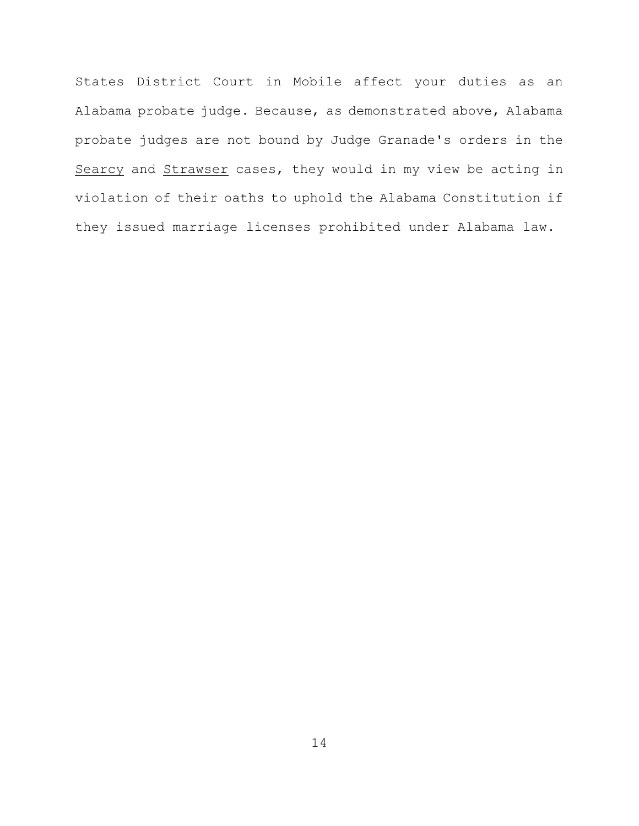States District Court in Mobile affect your duties as an Alabama probate judge. Because, as demonstrated above, Alabama probate judges are not bound by Judge Granade's orders in the Searcy and Strawser cases, they would in my view be acting in violation of their oaths to uphold the Alabama Constitution if they issued marriage licenses prohibited under Alabama law.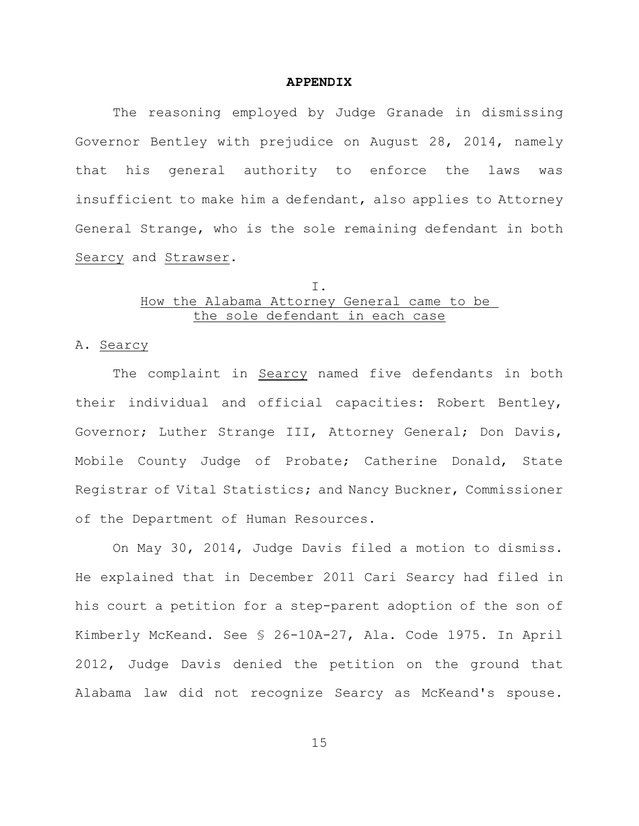#### **APPENDIX**

The reasoning employed by Judge Granade in dismissing Governor Bentley with prejudice on August 28, 2014, namely that his general authority to enforce the laws was insufficient to make him a defendant, also applies to Attorney General Strange, who is the sole remaining defendant in both Searcy and Strawser.

## I. How the Alabama Attorney General came to be the sole defendant in each case

## A. Searcy

The complaint in Searcy named five defendants in both their individual and official capacities: Robert Bentley, Governor; Luther Strange III, Attorney General; Don Davis, Mobile County Judge of Probate; Catherine Donald, State Registrar of Vital Statistics; and Nancy Buckner, Commissioner of the Department of Human Resources.

On May 30, 2014, Judge Davis filed a motion to dismiss. He explained that in December 2011 Cari Searcy had filed in his court a petition for a step-parent adoption of the son of Kimberly McKeand. See § 26-10A-27, Ala. Code 1975. In April 2012, Judge Davis denied the petition on the ground that Alabama law did not recognize Searcy as McKeand's spouse.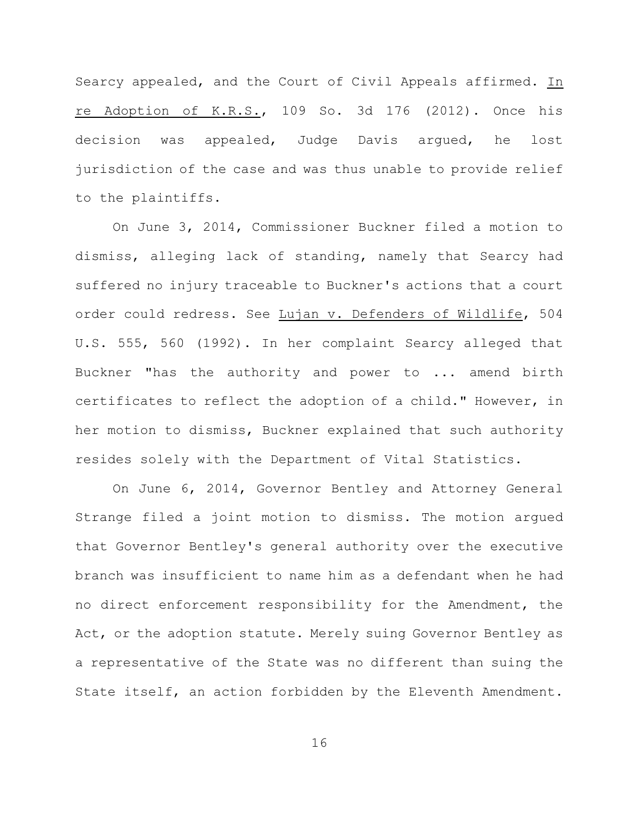Searcy appealed, and the Court of Civil Appeals affirmed. In re Adoption of K.R.S., 109 So. 3d 176 (2012). Once his decision was appealed, Judge Davis argued, he lost jurisdiction of the case and was thus unable to provide relief to the plaintiffs.

On June 3, 2014, Commissioner Buckner filed a motion to dismiss, alleging lack of standing, namely that Searcy had suffered no injury traceable to Buckner's actions that a court order could redress. See Lujan v. Defenders of Wildlife, 504 U.S. 555, 560 (1992). In her complaint Searcy alleged that Buckner "has the authority and power to ... amend birth certificates to reflect the adoption of a child." However, in her motion to dismiss, Buckner explained that such authority resides solely with the Department of Vital Statistics.

On June 6, 2014, Governor Bentley and Attorney General Strange filed a joint motion to dismiss. The motion argued that Governor Bentley's general authority over the executive branch was insufficient to name him as a defendant when he had no direct enforcement responsibility for the Amendment, the Act, or the adoption statute. Merely suing Governor Bentley as a representative of the State was no different than suing the State itself, an action forbidden by the Eleventh Amendment.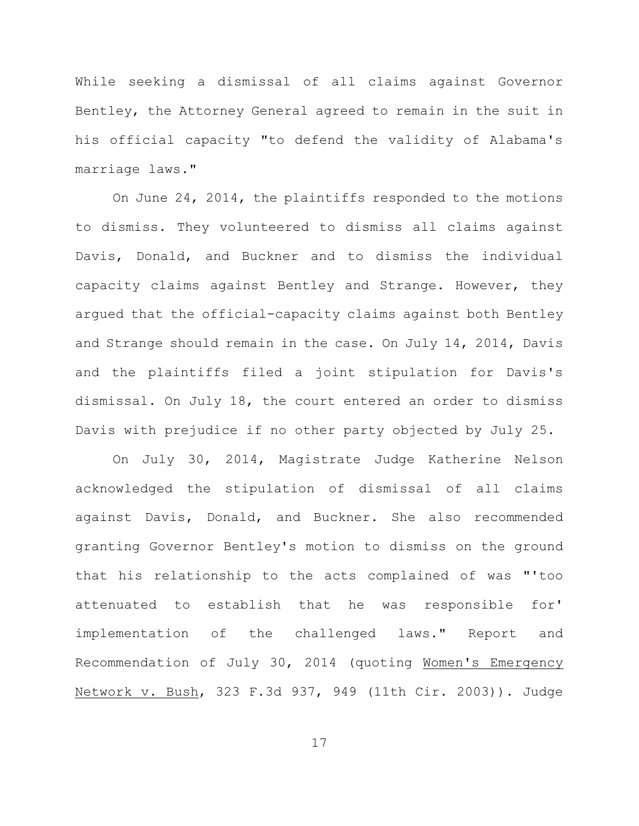While seeking a dismissal of all claims against Governor Bentley, the Attorney General agreed to remain in the suit in his official capacity "to defend the validity of Alabama's marriage laws."

On June 24, 2014, the plaintiffs responded to the motions to dismiss. They volunteered to dismiss all claims against Davis, Donald, and Buckner and to dismiss the individual capacity claims against Bentley and Strange. However, they argued that the official-capacity claims against both Bentley and Strange should remain in the case. On July 14, 2014, Davis and the plaintiffs filed a joint stipulation for Davis's dismissal. On July 18, the court entered an order to dismiss Davis with prejudice if no other party objected by July 25.

On July 30, 2014, Magistrate Judge Katherine Nelson acknowledged the stipulation of dismissal of all claims against Davis, Donald, and Buckner. She also recommended granting Governor Bentley's motion to dismiss on the ground that his relationship to the acts complained of was "'too attenuated to establish that he was responsible for' implementation of the challenged laws." Report and Recommendation of July 30, 2014 (quoting Women's Emergency Network v. Bush, 323 F.3d 937, 949 (11th Cir. 2003)). Judge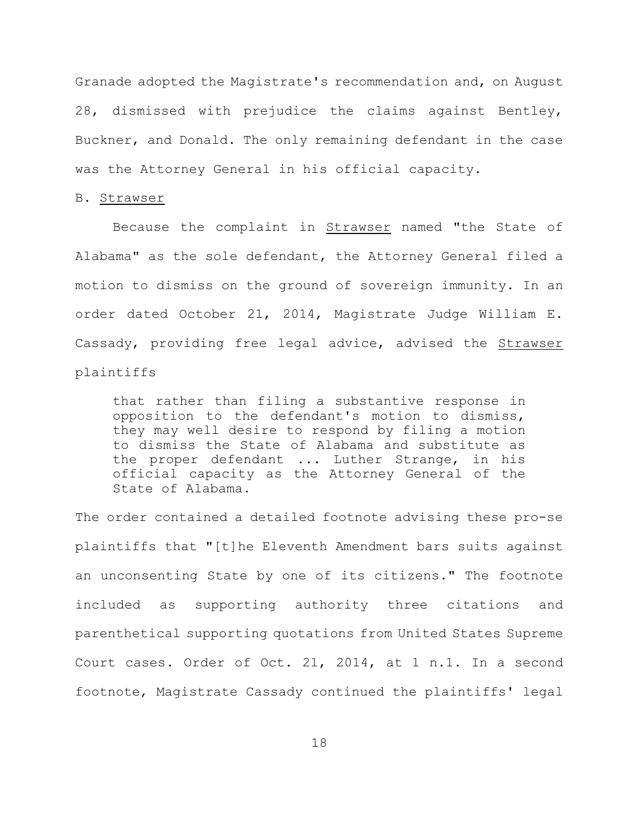Granade adopted the Magistrate's recommendation and, on August 28, dismissed with prejudice the claims against Bentley, Buckner, and Donald. The only remaining defendant in the case was the Attorney General in his official capacity.

#### B. Strawser

Because the complaint in Strawser named "the State of Alabama" as the sole defendant, the Attorney General filed a motion to dismiss on the ground of sovereign immunity. In an order dated October 21, 2014, Magistrate Judge William E. Cassady, providing free legal advice, advised the Strawser plaintiffs

that rather than filing a substantive response in opposition to the defendant's motion to dismiss, they may well desire to respond by filing a motion to dismiss the State of Alabama and substitute as the proper defendant ... Luther Strange, in his official capacity as the Attorney General of the State of Alabama.

The order contained a detailed footnote advising these pro-se plaintiffs that "[t]he Eleventh Amendment bars suits against an unconsenting State by one of its citizens." The footnote included as supporting authority three citations and parenthetical supporting quotations from United States Supreme Court cases. Order of Oct. 21, 2014, at 1 n.1. In a second footnote, Magistrate Cassady continued the plaintiffs' legal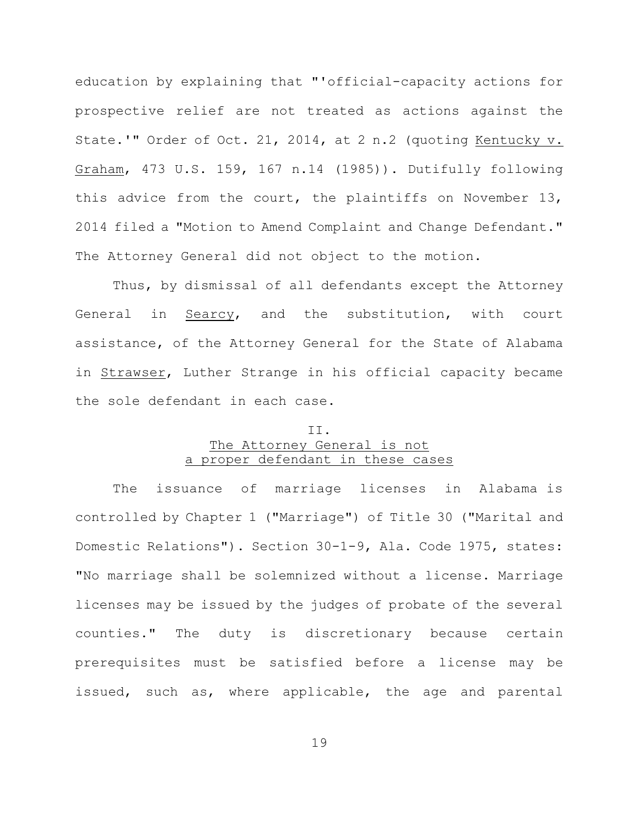education by explaining that "'official-capacity actions for prospective relief are not treated as actions against the State.'" Order of Oct. 21, 2014, at 2 n.2 (quoting Kentucky v. Graham, 473 U.S. 159, 167 n.14 (1985)). Dutifully following this advice from the court, the plaintiffs on November 13, 2014 filed a "Motion to Amend Complaint and Change Defendant." The Attorney General did not object to the motion.

Thus, by dismissal of all defendants except the Attorney General in Searcy, and the substitution, with court assistance, of the Attorney General for the State of Alabama in Strawser, Luther Strange in his official capacity became the sole defendant in each case.

## II. The Attorney General is not a proper defendant in these cases

The issuance of marriage licenses in Alabama is controlled by Chapter 1 ("Marriage") of Title 30 ("Marital and Domestic Relations"). Section 30-1-9, Ala. Code 1975, states: "No marriage shall be solemnized without a license. Marriage licenses may be issued by the judges of probate of the several counties." The duty is discretionary because certain prerequisites must be satisfied before a license may be issued, such as, where applicable, the age and parental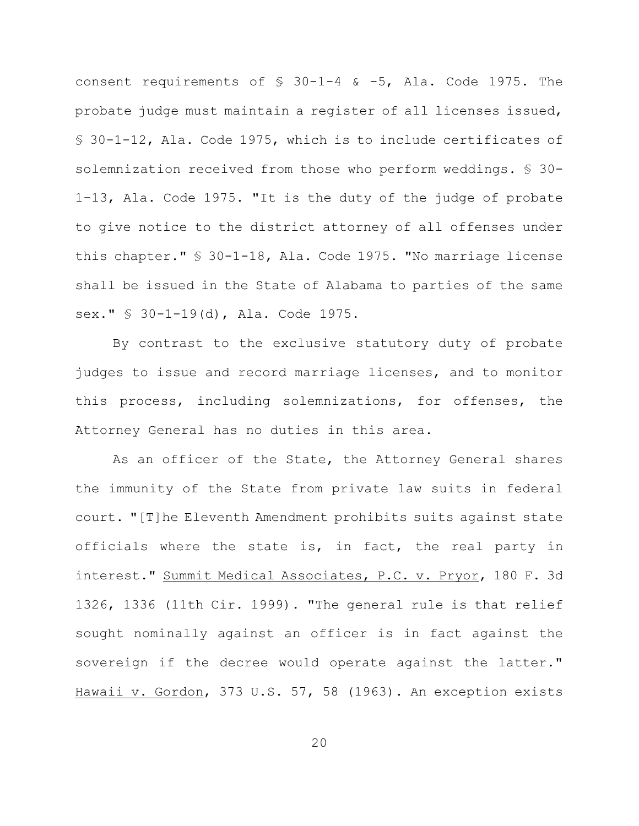consent requirements of § 30-1-4 & -5, Ala. Code 1975. The probate judge must maintain a register of all licenses issued, § 30-1-12, Ala. Code 1975, which is to include certificates of solemnization received from those who perform weddings. § 30- 1-13, Ala. Code 1975. "It is the duty of the judge of probate to give notice to the district attorney of all offenses under this chapter." § 30-1-18, Ala. Code 1975. "No marriage license shall be issued in the State of Alabama to parties of the same sex." § 30-1-19(d), Ala. Code 1975.

By contrast to the exclusive statutory duty of probate judges to issue and record marriage licenses, and to monitor this process, including solemnizations, for offenses, the Attorney General has no duties in this area.

As an officer of the State, the Attorney General shares the immunity of the State from private law suits in federal court. "[T]he Eleventh Amendment prohibits suits against state officials where the state is, in fact, the real party in interest." Summit Medical Associates, P.C. v. Pryor, 180 F. 3d 1326, 1336 (11th Cir. 1999). "The general rule is that relief sought nominally against an officer is in fact against the sovereign if the decree would operate against the latter." Hawaii v. Gordon, 373 U.S. 57, 58 (1963). An exception exists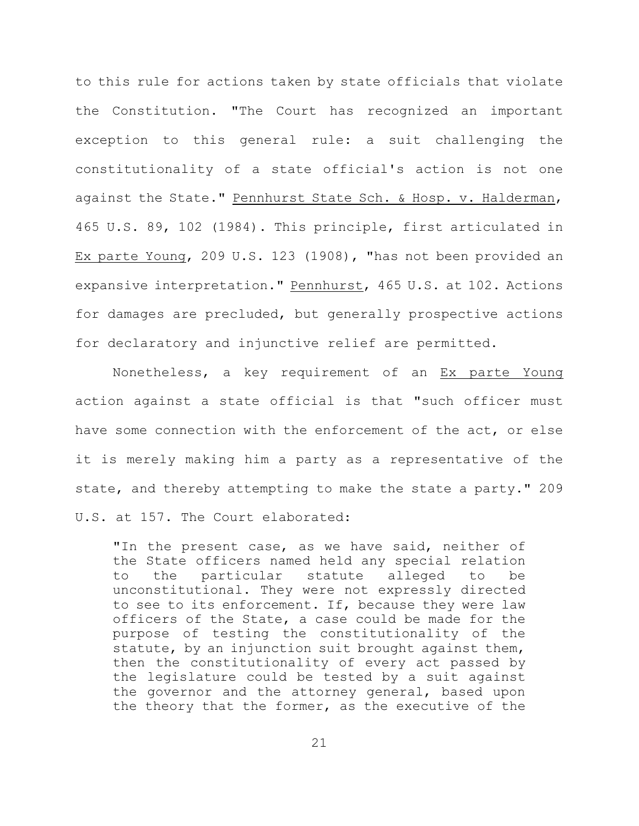to this rule for actions taken by state officials that violate the Constitution. "The Court has recognized an important exception to this general rule: a suit challenging the constitutionality of a state official's action is not one against the State." Pennhurst State Sch. & Hosp. v. Halderman, 465 U.S. 89, 102 (1984). This principle, first articulated in Ex parte Young, 209 U.S. 123 (1908), "has not been provided an expansive interpretation." Pennhurst, 465 U.S. at 102. Actions for damages are precluded, but generally prospective actions for declaratory and injunctive relief are permitted.

Nonetheless, a key requirement of an Ex parte Young action against a state official is that "such officer must have some connection with the enforcement of the act, or else it is merely making him a party as a representative of the state, and thereby attempting to make the state a party." 209 U.S. at 157. The Court elaborated:

"In the present case, as we have said, neither of the State officers named held any special relation to the particular statute alleged to be unconstitutional. They were not expressly directed to see to its enforcement. If, because they were law officers of the State, a case could be made for the purpose of testing the constitutionality of the statute, by an injunction suit brought against them, then the constitutionality of every act passed by the legislature could be tested by a suit against the governor and the attorney general, based upon the theory that the former, as the executive of the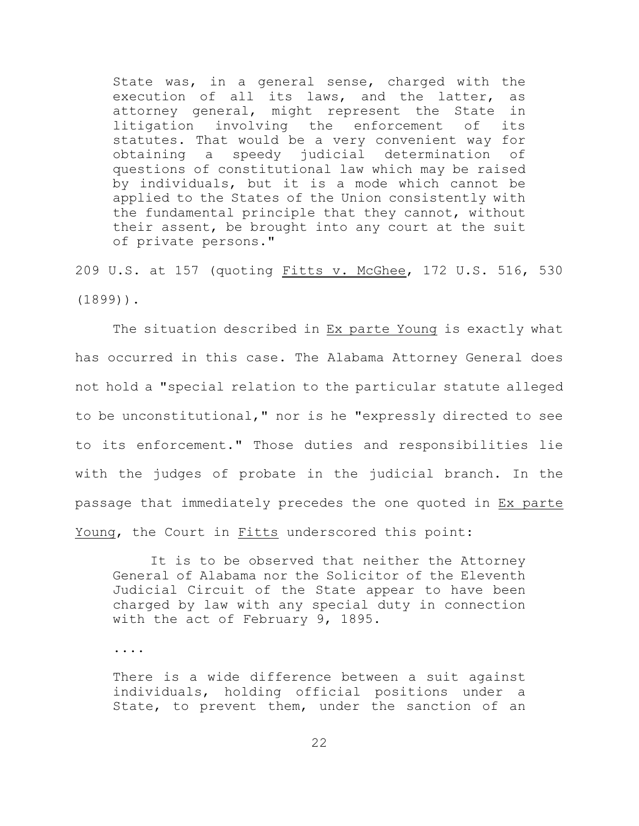State was, in a general sense, charged with the execution of all its laws, and the latter, as attorney general, might represent the State in litigation involving the enforcement of its statutes. That would be a very convenient way for obtaining a speedy judicial determination of questions of constitutional law which may be raised by individuals, but it is a mode which cannot be applied to the States of the Union consistently with the fundamental principle that they cannot, without their assent, be brought into any court at the suit of private persons."

209 U.S. at 157 (quoting Fitts v. McGhee, 172 U.S. 516, 530 (1899)).

The situation described in Ex parte Young is exactly what has occurred in this case. The Alabama Attorney General does not hold a "special relation to the particular statute alleged to be unconstitutional," nor is he "expressly directed to see to its enforcement." Those duties and responsibilities lie with the judges of probate in the judicial branch. In the passage that immediately precedes the one quoted in Ex parte Young, the Court in Fitts underscored this point:

It is to be observed that neither the Attorney General of Alabama nor the Solicitor of the Eleventh Judicial Circuit of the State appear to have been charged by law with any special duty in connection with the act of February 9, 1895.

....

There is a wide difference between a suit against individuals, holding official positions under a State, to prevent them, under the sanction of an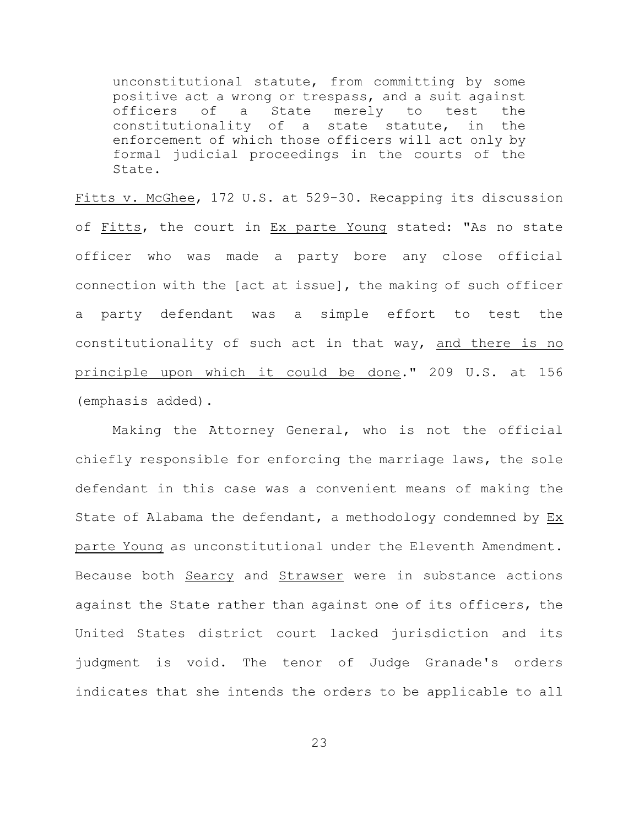unconstitutional statute, from committing by some positive act a wrong or trespass, and a suit against officers of a State merely to test the constitutionality of a state statute, in the enforcement of which those officers will act only by formal judicial proceedings in the courts of the State.

Fitts v. McGhee, 172 U.S. at 529-30. Recapping its discussion of Fitts, the court in Ex parte Young stated: "As no state officer who was made a party bore any close official connection with the [act at issue], the making of such officer a party defendant was a simple effort to test the constitutionality of such act in that way, and there is no principle upon which it could be done." 209 U.S. at 156 (emphasis added).

Making the Attorney General, who is not the official chiefly responsible for enforcing the marriage laws, the sole defendant in this case was a convenient means of making the State of Alabama the defendant, a methodology condemned by Ex parte Young as unconstitutional under the Eleventh Amendment. Because both Searcy and Strawser were in substance actions against the State rather than against one of its officers, the United States district court lacked jurisdiction and its judgment is void. The tenor of Judge Granade's orders indicates that she intends the orders to be applicable to all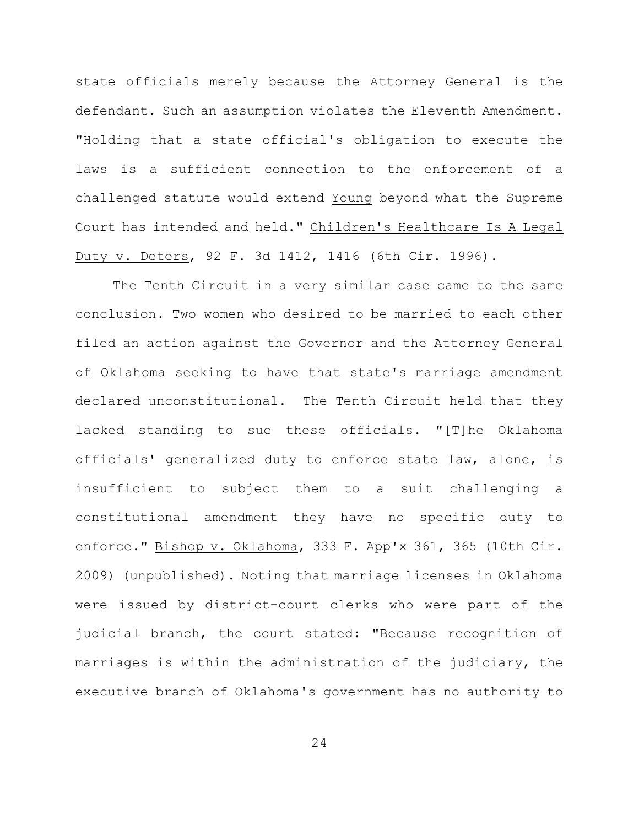state officials merely because the Attorney General is the defendant. Such an assumption violates the Eleventh Amendment. "Holding that a state official's obligation to execute the laws is a sufficient connection to the enforcement of a challenged statute would extend Young beyond what the Supreme Court has intended and held." Children's Healthcare Is A Legal Duty v. Deters, 92 F. 3d 1412, 1416 (6th Cir. 1996).

The Tenth Circuit in a very similar case came to the same conclusion. Two women who desired to be married to each other filed an action against the Governor and the Attorney General of Oklahoma seeking to have that state's marriage amendment declared unconstitutional. The Tenth Circuit held that they lacked standing to sue these officials. "[T]he Oklahoma officials' generalized duty to enforce state law, alone, is insufficient to subject them to a suit challenging a constitutional amendment they have no specific duty to enforce." Bishop v. Oklahoma, 333 F. App'x 361, 365 (10th Cir. 2009) (unpublished). Noting that marriage licenses in Oklahoma were issued by district-court clerks who were part of the judicial branch, the court stated: "Because recognition of marriages is within the administration of the judiciary, the executive branch of Oklahoma's government has no authority to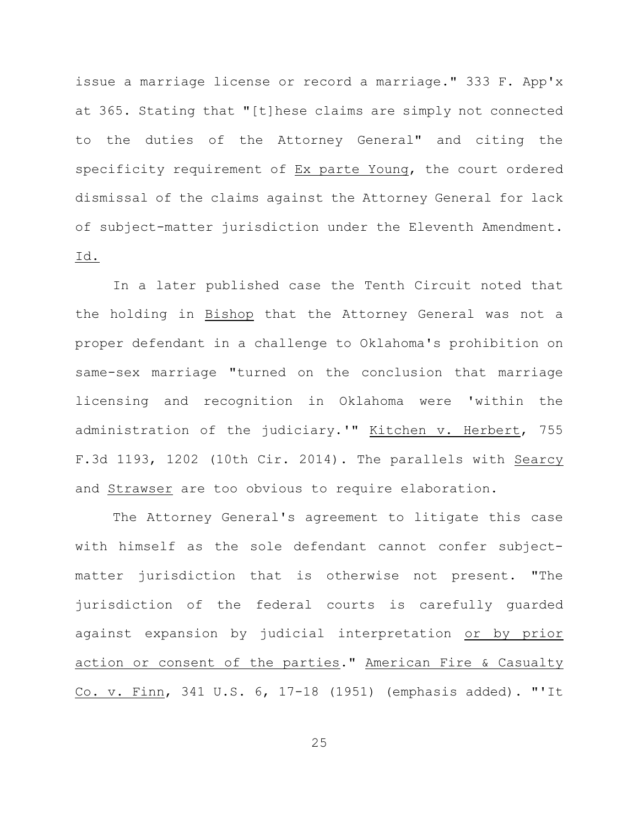issue a marriage license or record a marriage." 333 F. App'x at 365. Stating that "[t]hese claims are simply not connected to the duties of the Attorney General" and citing the specificity requirement of Ex parte Young, the court ordered dismissal of the claims against the Attorney General for lack of subject-matter jurisdiction under the Eleventh Amendment. Id.

In a later published case the Tenth Circuit noted that the holding in Bishop that the Attorney General was not a proper defendant in a challenge to Oklahoma's prohibition on same-sex marriage "turned on the conclusion that marriage licensing and recognition in Oklahoma were 'within the administration of the judiciary.'" Kitchen v. Herbert, 755 F.3d 1193, 1202 (10th Cir. 2014). The parallels with Searcy and Strawser are too obvious to require elaboration.

The Attorney General's agreement to litigate this case with himself as the sole defendant cannot confer subjectmatter jurisdiction that is otherwise not present. "The jurisdiction of the federal courts is carefully guarded against expansion by judicial interpretation or by prior action or consent of the parties." American Fire & Casualty Co. v. Finn, 341 U.S. 6, 17-18 (1951) (emphasis added). "'It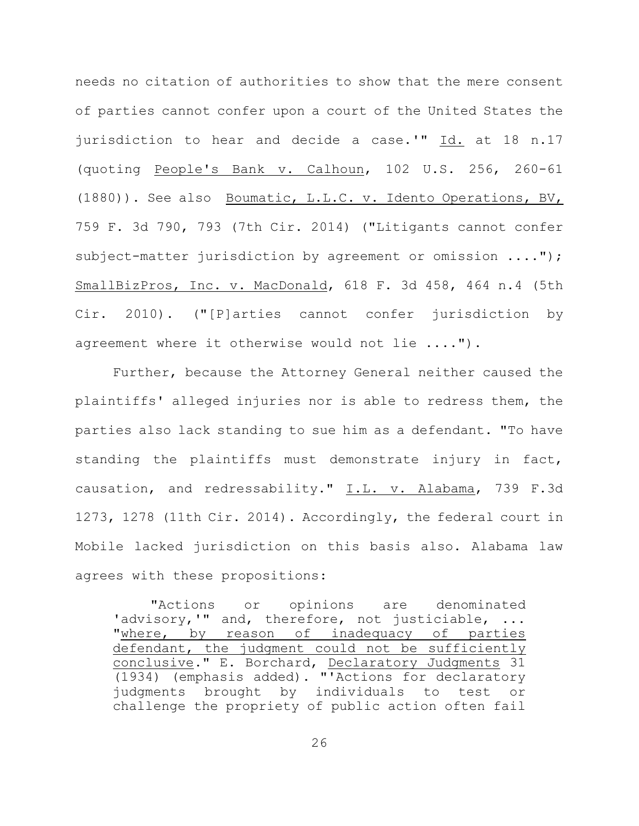needs no citation of authorities to show that the mere consent of parties cannot confer upon a court of the United States the jurisdiction to hear and decide a case.'" Id. at 18 n.17 (quoting People's Bank v. Calhoun, 102 U.S. 256, 260-61 (1880)). See also Boumatic, L.L.C. v. Idento Operations, BV, 759 F. 3d 790, 793 (7th Cir. 2014) ("Litigants cannot confer subject-matter jurisdiction by agreement or omission ...."); SmallBizPros, Inc. v. MacDonald, 618 F. 3d 458, 464 n.4 (5th Cir. 2010). ("[P]arties cannot confer jurisdiction by agreement where it otherwise would not lie ....").

Further, because the Attorney General neither caused the plaintiffs' alleged injuries nor is able to redress them, the parties also lack standing to sue him as a defendant. "To have standing the plaintiffs must demonstrate injury in fact, causation, and redressability." I.L. v. Alabama, 739 F.3d 1273, 1278 (11th Cir. 2014). Accordingly, the federal court in Mobile lacked jurisdiction on this basis also. Alabama law agrees with these propositions:

"Actions or opinions are denominated 'advisory,'" and, therefore, not justiciable, ... "where, by reason of inadequacy of parties defendant, the judgment could not be sufficiently conclusive." E. Borchard, Declaratory Judgments 31 (1934) (emphasis added). "'Actions for declaratory judgments brought by individuals to test or challenge the propriety of public action often fail